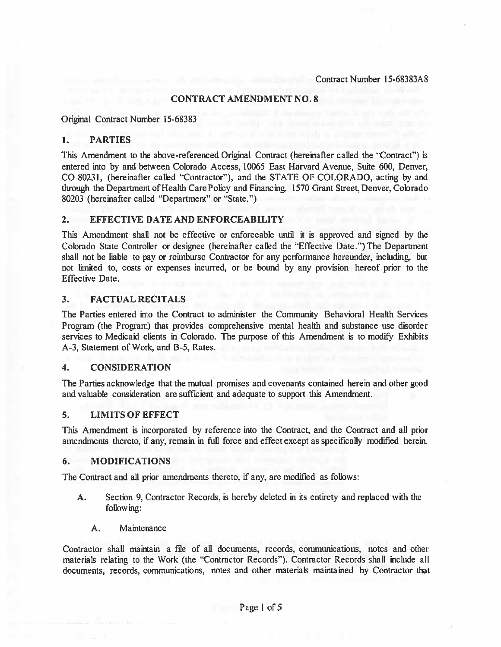### CONTRACT AMENDMENT NO.8

Original Contract Number 15-68383

## 1. PARTIES

This Amendment to the above-referenced Original Contract (hereinafter called the "Contract") is entered into by and between Colorado Access, 10065 East Harvard Avenue, Suite 600, Denver, CO 80231, (hereinafter called "Contractor"), and the STATE OF COLORADO, acting by and through the Department of Health Care Policy and Financing, 1570 Grant Street, Denver, Colorado 80203 (hereinafter called "Department" or "State.")

### 2. EFFECTIVE DATE AND ENFORCEABILITY

This Amendment shall not be effective or enforceable until it is approved and signed by the Colorado State Controller or designee (hereinafter called the 'EFfective Date.") The Department shall not be liable to pay or reimburse Contractor for any performance hereunder, including, but not limited to, costs or expenses incurred, or be bound by any provision hereof prior to the Effective Date.

## 3. FACTUAL RECITALS

The Parties entered into the Contract to administer the Community Behavioral Health Services Program (the Program) that provides comprehensive mental health and substance use disorder services to Medicaid clients in Colorado. The purpose of this Amendment is to modify Exhibits A-3, Statement of Work, and B-5, Rates.

### 4. CONSIDERATION

The Parties acknowledge that the mutual promises and covenants contained herein and other good and valuable consideration are sufficient and adequate to suppor<sup>t</sup> this Amendment.

### 5. LIMITS OF EFFECT

This Amendment is incorporated by reference into the Contract, and the Contract and all prior amendments thereto, if any, remain in full force and effect except as specifically modified herein.

### 6. MODIFICATIONS

The Contract and all prior amendments thereto, if any, are modified as follows:

- A. Section 9, Contractor Records, is hereby deleted in its entirety and replaced with the following:
	- A. Maintenance

Contractor shall maintain <sup>a</sup> file of all documents, records, communications, notes and other materials relating to the Work (the "Contractor Records"). Contractor Records shall include all documents, records, communications, notes and other materials maintained by Contractor that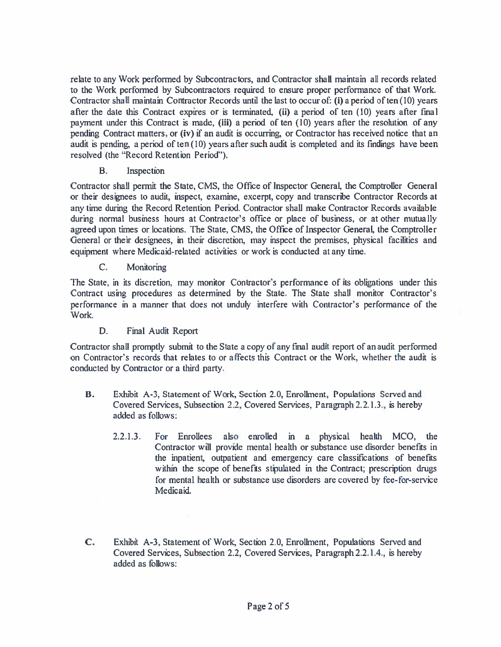relate to any Work performed by Subcontractors, and Contractor shall maintain all records related to the Work performed by Subcontractors required to ensure proper performance of that Work. Contractor shall maintain Contractor Records until the last to occur of: (i) <sup>a</sup> period of ten (10) years after the date this Contract expires or is terminated, (ii) <sup>a</sup> period of ten (10) years after final paymen<sup>t</sup> under this Contract is made, (iii) <sup>a</sup> period of ten (10) years after the resolution of any pending Contract matters, or (iv) if an audit is occurring, or Contractor has received notice that an audit is pending, a period of ten  $(10)$  years after such audit is completed and its findings have been resolved (the "Record Retention Period").

B.Inspection

Contractor shall permit the State, CMS, the Office of Inspector General, the Comptroller General or their designees to audit, inspect, examine, excerpt, copy and transcribe Contractor Records at any time during the Record Retention Period. Contractor shall make Contractor Records available during normal business hours at Contractor's office or place of business, or at other mutually agreed upon times or locations. The State, CMS, the Office of Inspector General, the Comptroller General or their designees, in their discretion, may inspect the premises, physical facilities and equipment where Medicaid-related activities or work is conducted at any time.

C.**Monitoring** 

The State, in its discretion, may monitor Contractor's performance of its obligations under this Contract using procedures as determined by the State. The State shall monitor Contractor's performance in <sup>a</sup> manner that does not unduly interfere with Contractor's performance of the Work.

D.Final Audit Report

Contractor shall promptly submit to the State <sup>a</sup> copy of any final audit repor<sup>t</sup> of an audit performed on Contractor's records that relates to or affects this Contract or the Work, whether the audit is conducted by Contractor or <sup>a</sup> third party.

- B. Exhibit A-3, Statement of Work, Section 2.0, Enrollment, Populations Served and Covered Services, Subsection 2.2, Covered Services, Paragraph 2.2.1.3., is hereby added as follows:
	- 2.2.1.3. For Enrollees also enrolled in <sup>a</sup> physical health MCO, the Contractor will provide mental health or substance use disorder benefits in the inpatient, outpatient and emergency care classifications of benefits within the scope of benefits stipulated in the Contract; prescription drugs for mental health or substance use disorders are covered by fee-for-service Medicaid.
- C. Exhibit A-3, Statement of Work, Section 2.0, Enrollment, Populations Served and Covered Services, Subsection 2.2, Covered Services, Paragraph 2.2.1.4., is hereby added as follows: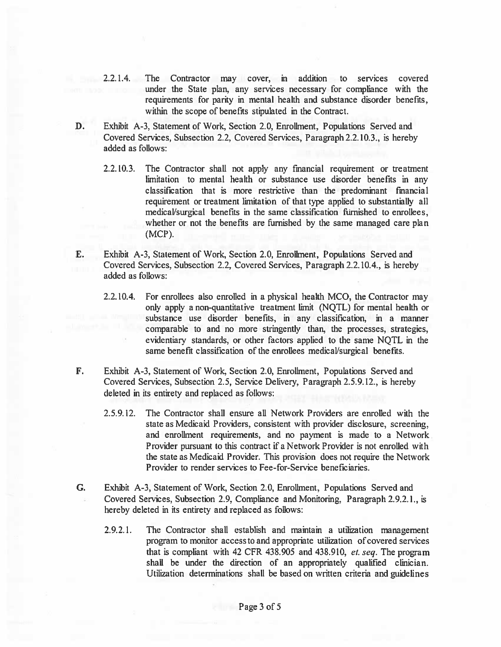- 2.2.1.4. The Contractor may cover, in addition to services covered under the State plan, any services necessary for compliance with the requirements for parity in mental health and substance disorder benefits, within the scope of benefits stipulated in the Contract.
- D. Exhibit A-3, Statement of Work, Section 2.0, Enrollment, Populations Served and Covered Services, Subsection 2.2, Covered Services, Paragraph 2.2.10.3., is hereby added as follows:
	- 2.2.10.3. The Contractor shall not apply any financial requirement or treatment limitation to mental health or substance use disorder benefits in any classification that is more restrictive than the predominant financial requirement or treatment limitation of that type applied to substantially all medical/surgical benefits in the same classification furnished to enrollees, whether or not the benefits are furnished by the same managed care plan (MCP).
- E. Exhibit A-3, Statement of Work, Section 2.0, Enrollment, Populations Served and Covered Services, Subsection 2.2, Covered Services, Paragraph 2.2.10.4., is hereby added as follows:
	- 2.2.10.4. For enrollees also enrolled in <sup>a</sup> physical health MCO, the Contractor may only apply <sup>a</sup> non-quantitative treatment limit (NQTL) for mental health or substance use disorder benefits, in any classification, in <sup>a</sup> manner comparable to and no more stringently than, the processes, strategies, evidentiary standards, or other factors applied to the same NOTL in the same benefit classification of the enrollees medical/surgical benefits.
- F. Exhibit A-3, Statement of Work, Section 2.0, Enrollment, Populations Served and Covered Services, Subsection 2.5, Service Delivery, Paragraph 2.5.9.12., is hereby deleted in its entirety and replaced as follows:
	- 2.5.9.12. The Contractor shall ensure all Network Providers are enrolled with the state as Medicaid Providers, consistent with provider disclosure, screening, and enrollment requirements, and no paymen<sup>t</sup> is made to <sup>a</sup> Network Provider pursuant to this contract if a Network Provider is not enrolled with the state as Medicaid Provider. This provision does not require the Network Provider to render services to Fee-for-Service beneficiaries.
- G. Exhibit A-3, Statement of Work, Section 2.0, Enrollment, Populations Served and Covered Services, Subsection 2.9, Compliance and Monitoring, Paragraph 2.9.2.1., is hereby deleted in its entirety and replaced as follows:
	- 2.9.2.1. The Contractor shall establish and maintain <sup>a</sup> utilization managemen<sup>t</sup> program to monitor access to and appropriate utilization of covered services that is compliant with 42 CFR 438.905 and 438.910, et. seq. The program shall be under the direction of an appropriately qualified clinician. Utilization determinations shall be based on written criteria and guidelines

Page 3 of 5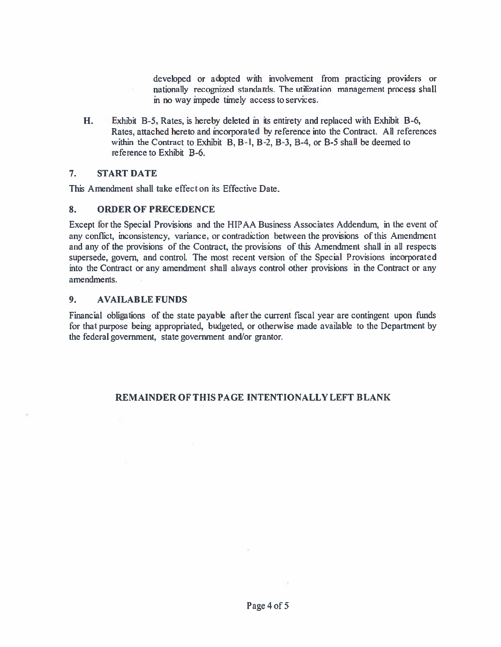developed or adopted with involvement from practicing providers or nationally recognized standards. The utilization managemen<sup>t</sup> process shall in no way impede timely access to services.

H. Exhibit B-5, Rates, is hereby deleted in its entirety and replaced with Exhibit B-6, Rates, attached hereto and incorporated by reference into the Contract. All references within the Contract to Exhibit B, B-I, 8-2, 8-3, 8-4, or 8-5 shall be deemed to reference to Exhibit 8-6.

#### 7.START DATE

This Amendment shall take effect on its Effective Date.

#### 8.ORDER OF PRECEDENCE

Except for the Special Provisions and the HIPAA Business Associates Addendum, in the event of any conflict, inconsistency, variance, or contradiction between the provisions of this Amendment and any of the provisions of the Contract, the provisions of this Amendment shall in all respects supersede, govern, and control. The most recent version of the Special Provisions incorporated into the Contract or any amendment shall always control other provisions in the Contract or any amendments.

#### 9.AVAILABLE FUNDS

Financial obligations of the state payable after the current fiscal year are contingent upon fimds for that purpose being appropriated, budgeted, or otherwise made available to the Department by the federal government, state governmen<sup>t</sup> and/or grantor.

# REMAINDER OF THIS PAGE INTENTIONALLY LEFT BLANK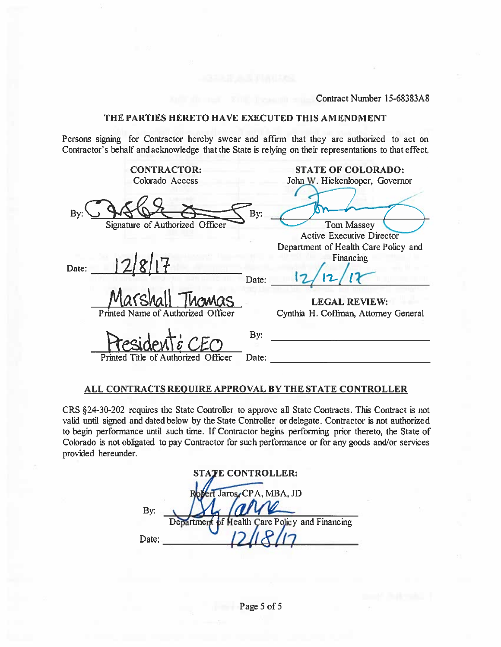## THE PARTIES HERETO HAVE EXECUTED THIS AMENDMENT

|                                       | Contract Number 15-68383A8                                                                                                                                                                          |
|---------------------------------------|-----------------------------------------------------------------------------------------------------------------------------------------------------------------------------------------------------|
|                                       | THE PARTIES HERETO HAVE EXECUTED THIS AMENDMENT                                                                                                                                                     |
|                                       | Persons signing for Contractor hereby swear and affirm that they are authorized to act on<br>Contractor's behalf and acknowledge that the State is relying on their representations to that effect. |
| <b>CONTRACTOR:</b><br>Colorado Access | <b>STATE OF COLORADO:</b><br>John W. Hickenlooper, Governor                                                                                                                                         |
| Bv                                    | By:                                                                                                                                                                                                 |
| Signature of Authorized Officer       | <b>Tom Massey</b><br><b>Active Executive Director</b>                                                                                                                                               |
|                                       | Department of Health Care Policy and                                                                                                                                                                |
| Date:                                 | Financing                                                                                                                                                                                           |
|                                       | Date:                                                                                                                                                                                               |
|                                       | <b>LEGAL REVIEW:</b>                                                                                                                                                                                |
| Printed Name of Authorized            | Cynthia H. Coffman, Attorney General                                                                                                                                                                |
|                                       | By:                                                                                                                                                                                                 |
| Printed Title of Authorized Officer   | Date:                                                                                                                                                                                               |
|                                       |                                                                                                                                                                                                     |

## ALL CONTRACTS REOUTRE APPROVAL BY THE STATE CONTROLLER

CRS §24-30-202 requires the State Controller to approve all Slate Contracts. This Contract is not valid until signed and dated below by the State Controller or delegate. Contractor is not authorized to begin performance until such time. If Contractor begins performing prior thereto, the State of Colorado is not obligated to pay Contractor for such performance or for any goods and/or services provided hereunder.

|       | <b>STATE CONTROLLER:</b>                       |
|-------|------------------------------------------------|
|       | Jaros, CPA, MBA, JD                            |
| By:   | all                                            |
|       | Department of Health Care Policy and Financing |
| Date: |                                                |